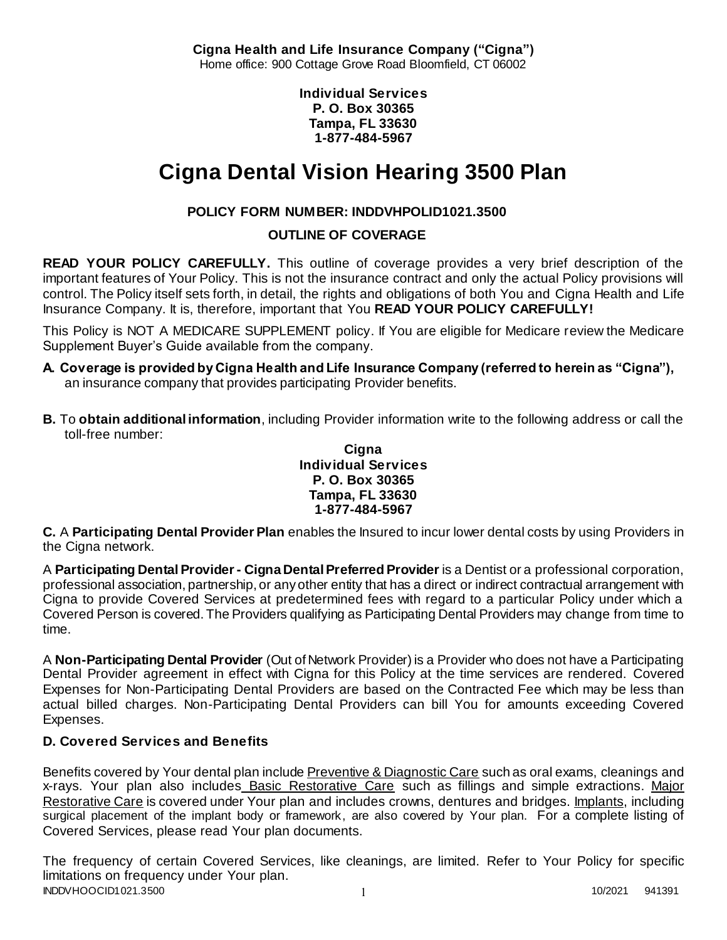**Cigna Health and Life Insurance Company ("Cigna")** Home office: 900 Cottage Grove Road Bloomfield, CT 06002

> **Individual Services P. O. Box 30365 Tampa, FL 33630 1-877-484-5967**

# **Cigna Dental Vision Hearing 3500 Plan**

# **POLICY FORM NUMBER: INDDVHPOLID1021.3500**

**OUTLINE OF COVERAGE** 

**READ YOUR POLICY CAREFULLY.** This outline of coverage provides a very brief description of the important features of Your Policy. This is not the insurance contract and only the actual Policy provisions will control. The Policy itself sets forth, in detail, the rights and obligations of both You and Cigna Health and Life Insurance Company. It is, therefore, important that You **READ YOUR POLICY CAREFULLY!** 

This Policy is NOT A MEDICARE SUPPLEMENT policy. If You are eligible for Medicare review the Medicare Supplement Buyer's Guide available from the company.

- **A. Coverage is provided by Cigna Health and Life Insurance Company (referred to herein as "Cigna"),**  an insurance company that provides participating Provider benefits.
- **B.** To **obtain additional information**, including Provider information write to the following address or call the toll-free number:

**Cigna Individual Services P. O. Box 30365 Tampa, FL 33630 1-877-484-5967**

**C.** A **Participating Dental Provider Plan** enables the Insured to incur lower dental costs by using Providers in the Cigna network.

A **Participating Dental Provider - Cigna Dental Preferred Provider** is a Dentist or a professional corporation, professional association, partnership, or any other entity that has a direct or indirect contractual arrangement with Cigna to provide Covered Services at predetermined fees with regard to a particular Policy under which a Covered Person is covered. The Providers qualifying as Participating Dental Providers may change from time to time.

A **Non-Participating Dental Provider** (Out of Network Provider) is a Provider who does not have a Participating Dental Provider agreement in effect with Cigna for this Policy at the time services are rendered. Covered Expenses for Non-Participating Dental Providers are based on the Contracted Fee which may be less than actual billed charges. Non-Participating Dental Providers can bill You for amounts exceeding Covered Expenses.

# **D. Covered Services and Benefits**

Benefits covered by Your dental plan include Preventive & Diagnostic Care such as oral exams, cleanings and x-rays. Your plan also includes Basic Restorative Care such as fillings and simple extractions. Major Restorative Care is covered under Your plan and includes crowns, dentures and bridges. Implants, including surgical placement of the implant body or framework, are also covered by Your plan. For a complete listing of Covered Services, please read Your plan documents.

INDDVHOOCID1021.3500 1 10/2021 941391 The frequency of certain Covered Services, like cleanings, are limited. Refer to Your Policy for specific limitations on frequency under Your plan.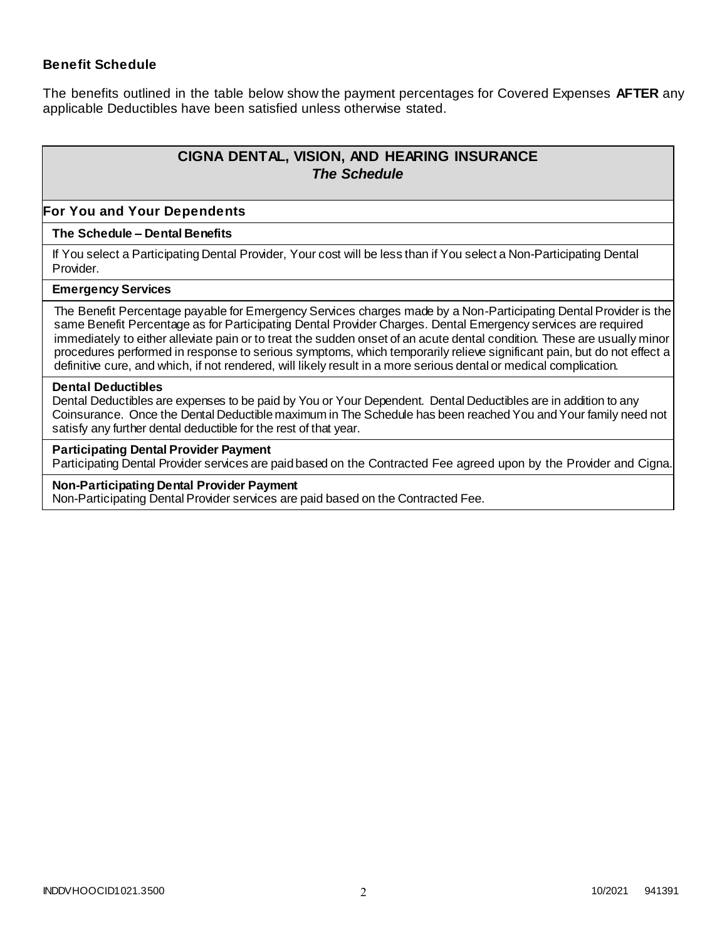### **Benefit Schedule**

The benefits outlined in the table below show the payment percentages for Covered Expenses **AFTER** any applicable Deductibles have been satisfied unless otherwise stated.

# **CIGNA DENTAL, VISION, AND HEARING INSURANCE** *The Schedule*

#### **For You and Your Dependents**

#### **The Schedule – Dental Benefits**

If You select a Participating Dental Provider, Your cost will be less than if You select a Non-Participating Dental Provider.

#### **Emergency Services**

The Benefit Percentage payable for Emergency Services charges made by a Non-Participating Dental Provider is the same Benefit Percentage as for Participating Dental Provider Charges. Dental Emergency services are required immediately to either alleviate pain or to treat the sudden onset of an acute dental condition. These are usually minor procedures performed in response to serious symptoms, which temporarily relieve significant pain, but do not effect a definitive cure, and which, if not rendered, will likely result in a more serious dental or medical complication.

#### **Dental Deductibles**

Dental Deductibles are expenses to be paid by You or Your Dependent. Dental Deductibles are in addition to any Coinsurance. Once the Dental Deductible maximum in The Schedule has been reached You and Your family need not satisfy any further dental deductible for the rest of that year.

#### **Participating Dental Provider Payment**

Participating Dental Provider services are paid based on the Contracted Fee agreed upon by the Provider and Cigna.

#### **Non-Participating Dental Provider Payment**

Non-Participating Dental Provider services are paid based on the Contracted Fee.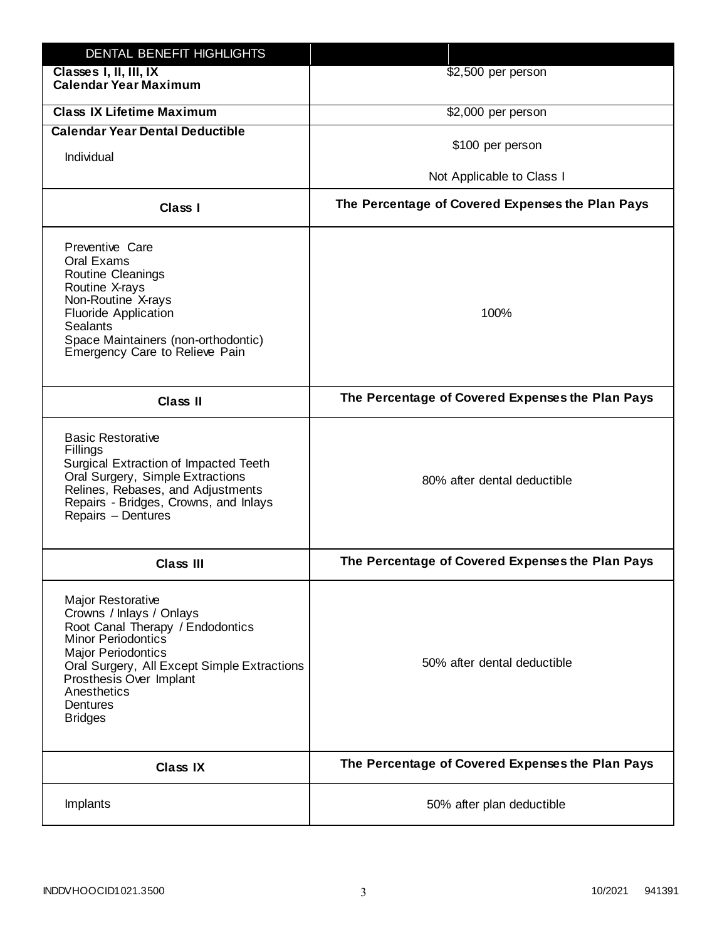| DENTAL BENEFIT HIGHLIGHTS                                                                                                                                                                                                                                                 |                                                  |
|---------------------------------------------------------------------------------------------------------------------------------------------------------------------------------------------------------------------------------------------------------------------------|--------------------------------------------------|
| Classes I, II, III, IX<br><b>Calendar Year Maximum</b>                                                                                                                                                                                                                    | \$2,500 per person                               |
| <b>Class IX Lifetime Maximum</b>                                                                                                                                                                                                                                          | \$2,000 per person                               |
| <b>Calendar Year Dental Deductible</b>                                                                                                                                                                                                                                    |                                                  |
| Individual                                                                                                                                                                                                                                                                | \$100 per person                                 |
|                                                                                                                                                                                                                                                                           | Not Applicable to Class I                        |
| <b>Class I</b>                                                                                                                                                                                                                                                            | The Percentage of Covered Expenses the Plan Pays |
| Preventive Care<br>Oral Exams<br>Routine Cleanings<br>Routine X-rays<br>Non-Routine X-rays<br><b>Fluoride Application</b><br><b>Sealants</b><br>Space Maintainers (non-orthodontic)<br>Emergency Care to Relieve Pain                                                     | 100%                                             |
| <b>Class II</b>                                                                                                                                                                                                                                                           | The Percentage of Covered Expenses the Plan Pays |
| <b>Basic Restorative</b><br>Fillings<br>Surgical Extraction of Impacted Teeth<br>Oral Surgery, Simple Extractions<br>Relines, Rebases, and Adjustments<br>Repairs - Bridges, Crowns, and Inlays<br>Repairs - Dentures                                                     | 80% after dental deductible                      |
| <b>Class III</b>                                                                                                                                                                                                                                                          | The Percentage of Covered Expenses the Plan Pays |
| <b>Major Restorative</b><br>Crowns / Inlays / Onlays<br>Root Canal Therapy / Endodontics<br><b>Minor Periodontics</b><br><b>Major Periodontics</b><br>Oral Surgery, All Except Simple Extractions<br>Prosthesis Over Implant<br>Anesthetics<br>Dentures<br><b>Bridges</b> | 50% after dental deductible                      |
| <b>Class IX</b>                                                                                                                                                                                                                                                           | The Percentage of Covered Expenses the Plan Pays |
| Implants                                                                                                                                                                                                                                                                  | 50% after plan deductible                        |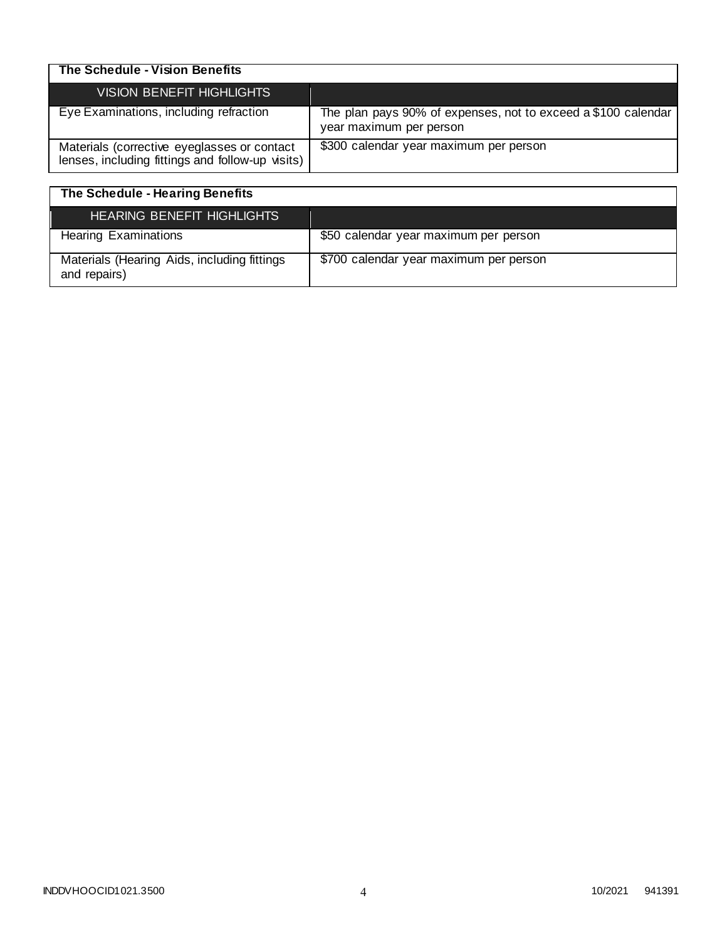| The Schedule - Vision Benefits                                                                  |                                                                                          |
|-------------------------------------------------------------------------------------------------|------------------------------------------------------------------------------------------|
| <b>VISION BENEFIT HIGHLIGHTS</b>                                                                |                                                                                          |
| Eye Examinations, including refraction                                                          | The plan pays 90% of expenses, not to exceed a \$100 calendar<br>year maximum per person |
| Materials (corrective eyeglasses or contact<br>lenses, including fittings and follow-up visits) | \$300 calendar year maximum per person                                                   |

| The Schedule - Hearing Benefits                             |                                        |
|-------------------------------------------------------------|----------------------------------------|
| HEARING BENEFIT HIGHLIGHTS                                  |                                        |
| <b>Hearing Examinations</b>                                 | \$50 calendar year maximum per person  |
| Materials (Hearing Aids, including fittings<br>and repairs) | \$700 calendar year maximum per person |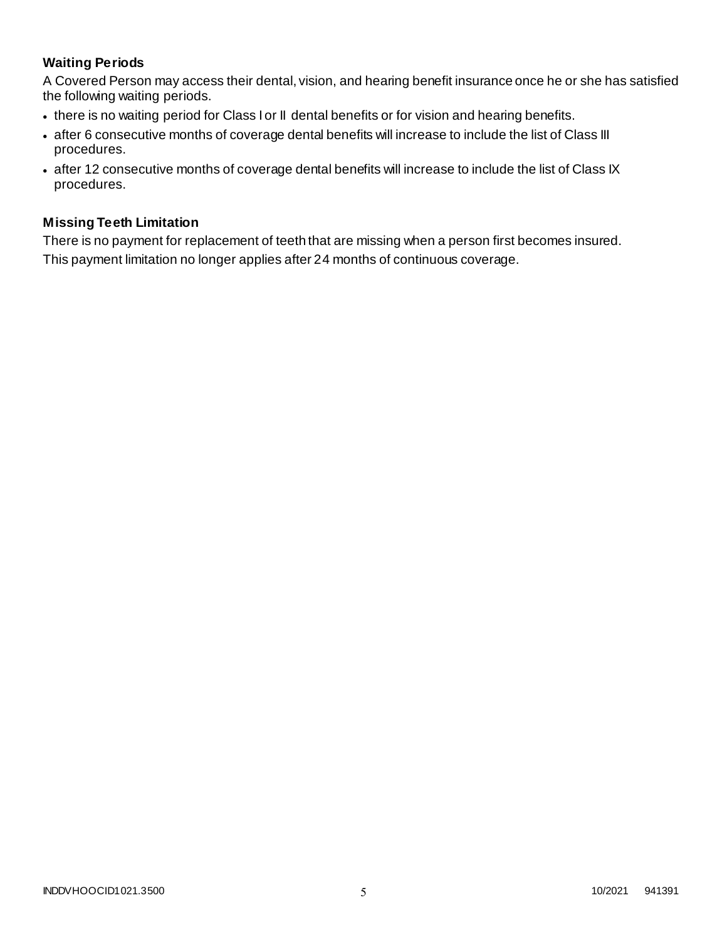# **Waiting Periods**

A Covered Person may access their dental, vision, and hearing benefit insurance once he or she has satisfied the following waiting periods.

- there is no waiting period for Class I or II dental benefits or for vision and hearing benefits.
- after 6 consecutive months of coverage dental benefits will increase to include the list of Class III procedures.
- after 12 consecutive months of coverage dental benefits will increase to include the list of Class IX procedures.

### **Missing Teeth Limitation**

There is no payment for replacement of teeth that are missing when a person first becomes insured. This payment limitation no longer applies after 24 months of continuous coverage.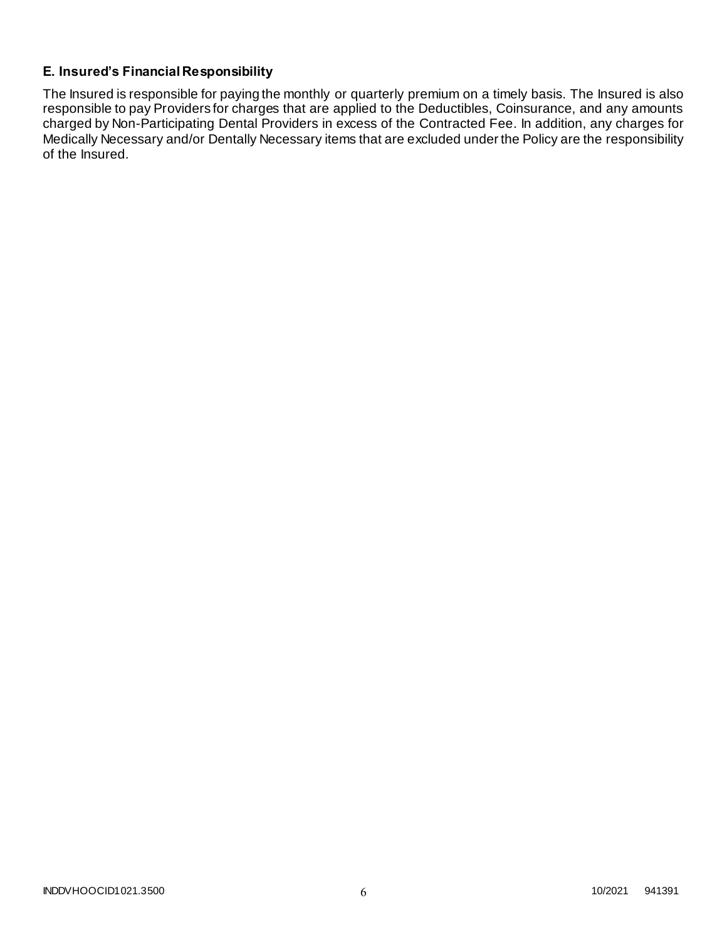### **E. Insured's Financial Responsibility**

The Insured is responsible for paying the monthly or quarterly premium on a timely basis. The Insured is also responsible to pay Providers for charges that are applied to the Deductibles, Coinsurance, and any amounts charged by Non-Participating Dental Providers in excess of the Contracted Fee. In addition, any charges for Medically Necessary and/or Dentally Necessary items that are excluded under the Policy are the responsibility of the Insured.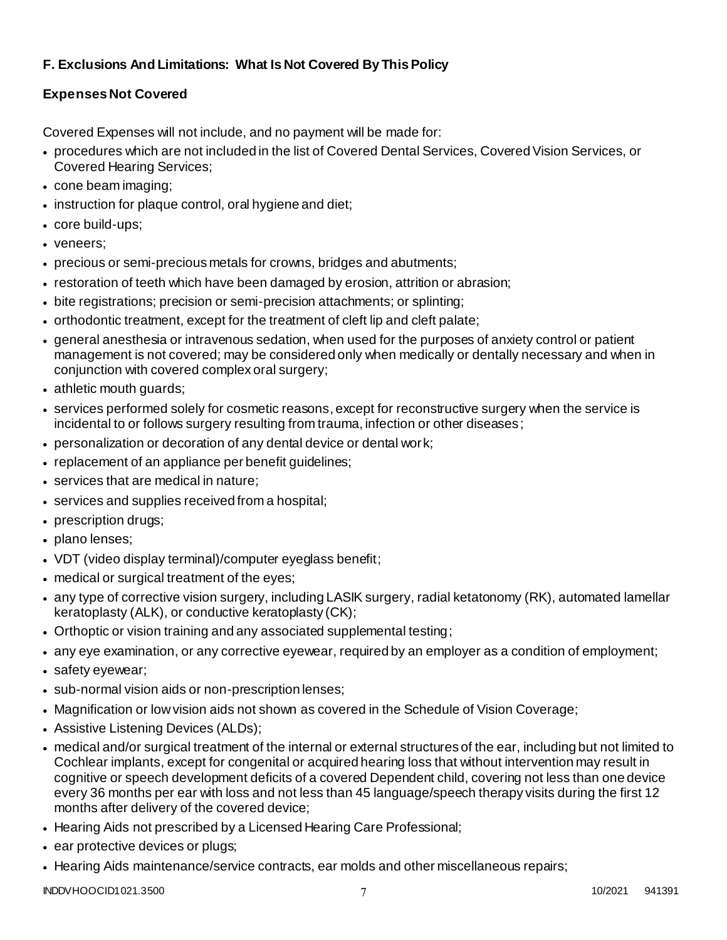# **F. Exclusions And Limitations: What Is Not Covered By This Policy**

# **Expenses Not Covered**

Covered Expenses will not include, and no payment will be made for:

- procedures which are not included in the list of Covered Dental Services, Covered Vision Services, or Covered Hearing Services;
- cone beam imaging;
- instruction for plaque control, oral hygiene and diet;
- core build-ups;
- veneers;
- precious or semi-precious metals for crowns, bridges and abutments;
- restoration of teeth which have been damaged by erosion, attrition or abrasion;
- bite registrations; precision or semi-precision attachments; or splinting;
- orthodontic treatment, except for the treatment of cleft lip and cleft palate;
- general anesthesia or intravenous sedation, when used for the purposes of anxiety control or patient management is not covered; may be considered only when medically or dentally necessary and when in conjunction with covered complex oral surgery;
- athletic mouth guards;
- services performed solely for cosmetic reasons, except for reconstructive surgery when the service is incidental to or follows surgery resulting from trauma, infection or other diseases;
- personalization or decoration of any dental device or dental work;
- replacement of an appliance per benefit quidelines;
- services that are medical in nature;
- services and supplies received from a hospital;
- prescription drugs;
- plano lenses;
- VDT (video display terminal)/computer eyeglass benefit;
- medical or surgical treatment of the eyes;
- any type of corrective vision surgery, including LASIK surgery, radial ketatonomy (RK), automated lamellar keratoplasty (ALK), or conductive keratoplasty (CK);
- Orthoptic or vision training and any associated supplemental testing;
- any eye examination, or any corrective eyewear, required by an employer as a condition of employment;
- safety eyewear;
- sub-normal vision aids or non-prescription lenses;
- Magnification or low vision aids not shown as covered in the Schedule of Vision Coverage;
- Assistive Listening Devices (ALDs);
- medical and/or surgical treatment of the internal or external structures of the ear, including but not limited to Cochlear implants, except for congenital or acquired hearing loss that without intervention may result in cognitive or speech development deficits of a covered Dependent child, covering not less than one device every 36 months per ear with loss and not less than 45 language/speech therapy visits during the first 12 months after delivery of the covered device;
- Hearing Aids not prescribed by a Licensed Hearing Care Professional;
- ear protective devices or plugs;
- Hearing Aids maintenance/service contracts, ear molds and other miscellaneous repairs;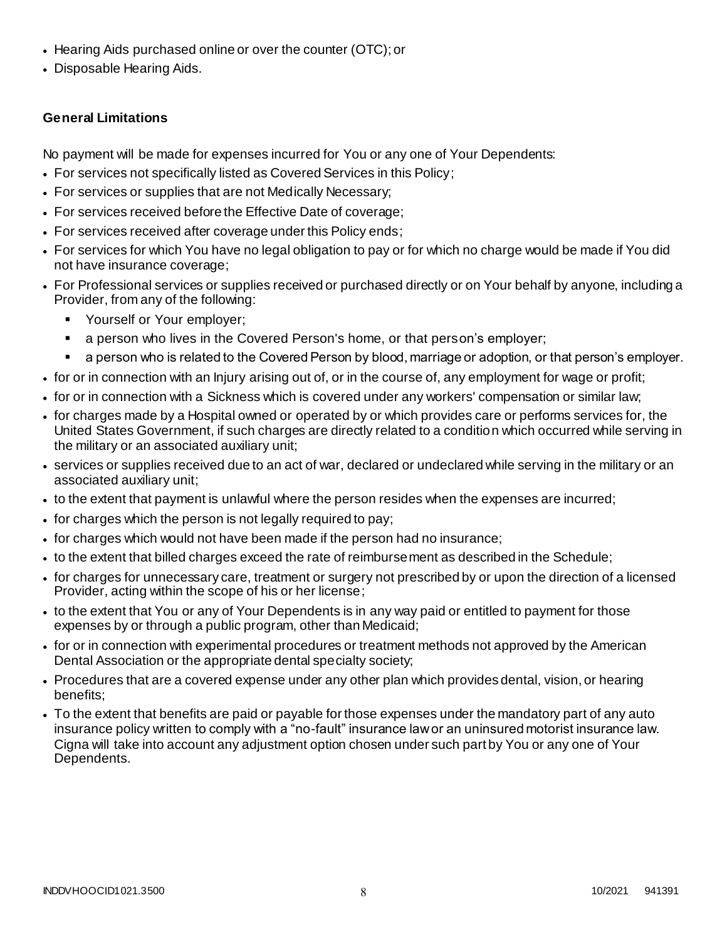- Hearing Aids purchased online or over the counter (OTC); or
- Disposable Hearing Aids.

# **General Limitations**

No payment will be made for expenses incurred for You or any one of Your Dependents:

- For services not specifically listed as Covered Services in this Policy;
- For services or supplies that are not Medically Necessary;
- For services received before the Effective Date of coverage;
- For services received after coverage under this Policy ends;
- For services for which You have no legal obligation to pay or for which no charge would be made if You did not have insurance coverage;
- For Professional services or supplies received or purchased directly or on Your behalf by anyone, including a Provider, from any of the following:
	- **Yourself or Your employer;**
	- a person who lives in the Covered Person's home, or that person's employer;
	- a person who is related to the Covered Person by blood, marriage or adoption, or that person's employer.
- for or in connection with an Injury arising out of, or in the course of, any employment for wage or profit;
- for or in connection with a Sickness which is covered under any workers' compensation or similar law;
- for charges made by a Hospital owned or operated by or which provides care or performs services for, the United States Government, if such charges are directly related to a condition which occurred while serving in the military or an associated auxiliary unit;
- services or supplies received due to an act of war, declared or undeclared while serving in the military or an associated auxiliary unit;
- to the extent that payment is unlawful where the person resides when the expenses are incurred;
- for charges which the person is not legally required to pay;
- for charges which would not have been made if the person had no insurance;
- to the extent that billed charges exceed the rate of reimbursement as described in the Schedule;
- for charges for unnecessary care, treatment or surgery not prescribed by or upon the direction of a licensed Provider, acting within the scope of his or her license;
- to the extent that You or any of Your Dependents is in any way paid or entitled to payment for those expenses by or through a public program, other than Medicaid;
- for or in connection with experimental procedures or treatment methods not approved by the American Dental Association or the appropriate dental specialty society;
- Procedures that are a covered expense under any other plan which provides dental, vision, or hearing benefits;
- To the extent that benefits are paid or payable for those expenses under the mandatory part of any auto insurance policy written to comply with a "no-fault" insurance law or an uninsured motorist insurance law. Cigna will take into account any adjustment option chosen under such part by You or any one of Your Dependents.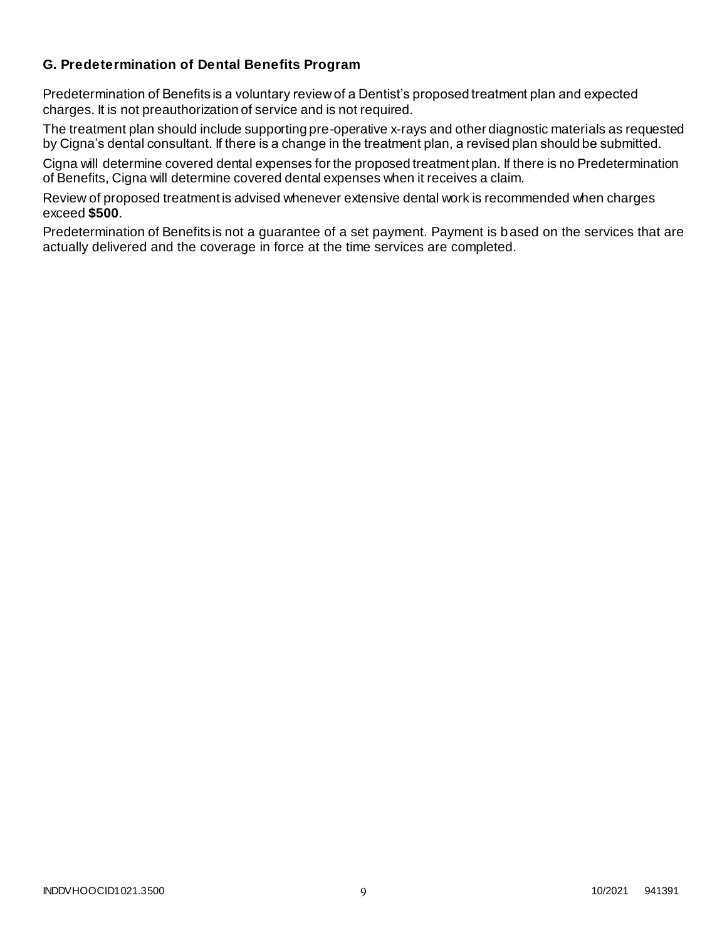### **G. Predetermination of Dental Benefits Program**

Predetermination of Benefits is a voluntary review of a Dentist's proposed treatment plan and expected charges. It is not preauthorization of service and is not required.

The treatment plan should include supporting pre-operative x-rays and other diagnostic materials as requested by Cigna's dental consultant. If there is a change in the treatment plan, a revised plan should be submitted.

Cigna will determine covered dental expenses for the proposed treatment plan. If there is no Predetermination of Benefits, Cigna will determine covered dental expenses when it receives a claim.

Review of proposed treatment is advised whenever extensive dental work is recommended when charges exceed **\$500**.

Predetermination of Benefits is not a guarantee of a set payment. Payment is based on the services that are actually delivered and the coverage in force at the time services are completed.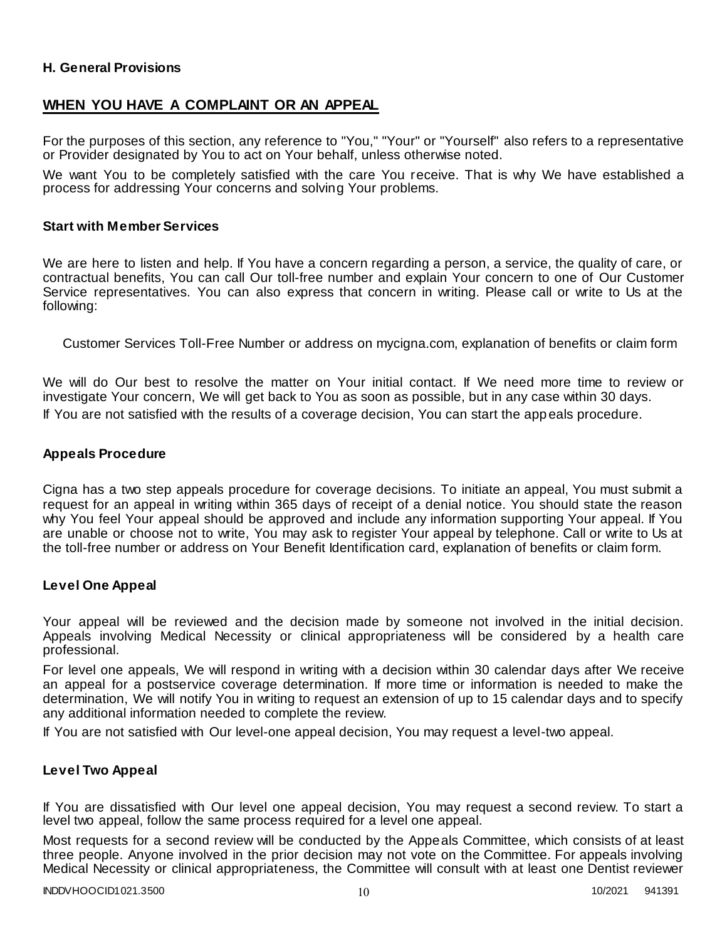### **H. General Provisions**

### **WHEN YOU HAVE A COMPLAINT OR AN APPEAL**

For the purposes of this section, any reference to "You," "Your" or "Yourself" also refers to a representative or Provider designated by You to act on Your behalf, unless otherwise noted.

We want You to be completely satisfied with the care You receive. That is why We have established a process for addressing Your concerns and solving Your problems.

#### **Start with Member Services**

We are here to listen and help. If You have a concern regarding a person, a service, the quality of care, or contractual benefits, You can call Our toll-free number and explain Your concern to one of Our Customer Service representatives. You can also express that concern in writing. Please call or write to Us at the following:

Customer Services Toll-Free Number or address on mycigna.com, explanation of benefits or claim form

We will do Our best to resolve the matter on Your initial contact. If We need more time to review or investigate Your concern, We will get back to You as soon as possible, but in any case within 30 days. If You are not satisfied with the results of a coverage decision, You can start the app eals procedure.

#### **Appeals Procedure**

Cigna has a two step appeals procedure for coverage decisions. To initiate an appeal, You must submit a request for an appeal in writing within 365 days of receipt of a denial notice. You should state the reason why You feel Your appeal should be approved and include any information supporting Your appeal. If You are unable or choose not to write, You may ask to register Your appeal by telephone. Call or write to Us at the toll-free number or address on Your Benefit Identification card, explanation of benefits or claim form.

#### **Level One Appeal**

Your appeal will be reviewed and the decision made by someone not involved in the initial decision. Appeals involving Medical Necessity or clinical appropriateness will be considered by a health care professional.

For level one appeals, We will respond in writing with a decision within 30 calendar days after We receive an appeal for a postservice coverage determination. If more time or information is needed to make the determination, We will notify You in writing to request an extension of up to 15 calendar days and to specify any additional information needed to complete the review.

If You are not satisfied with Our level-one appeal decision, You may request a level-two appeal.

#### **Level Two Appeal**

If You are dissatisfied with Our level one appeal decision, You may request a second review. To start a level two appeal, follow the same process required for a level one appeal.

Most requests for a second review will be conducted by the Appeals Committee, which consists of at least three people. Anyone involved in the prior decision may not vote on the Committee. For appeals involving Medical Necessity or clinical appropriateness, the Committee will consult with at least one Dentist reviewer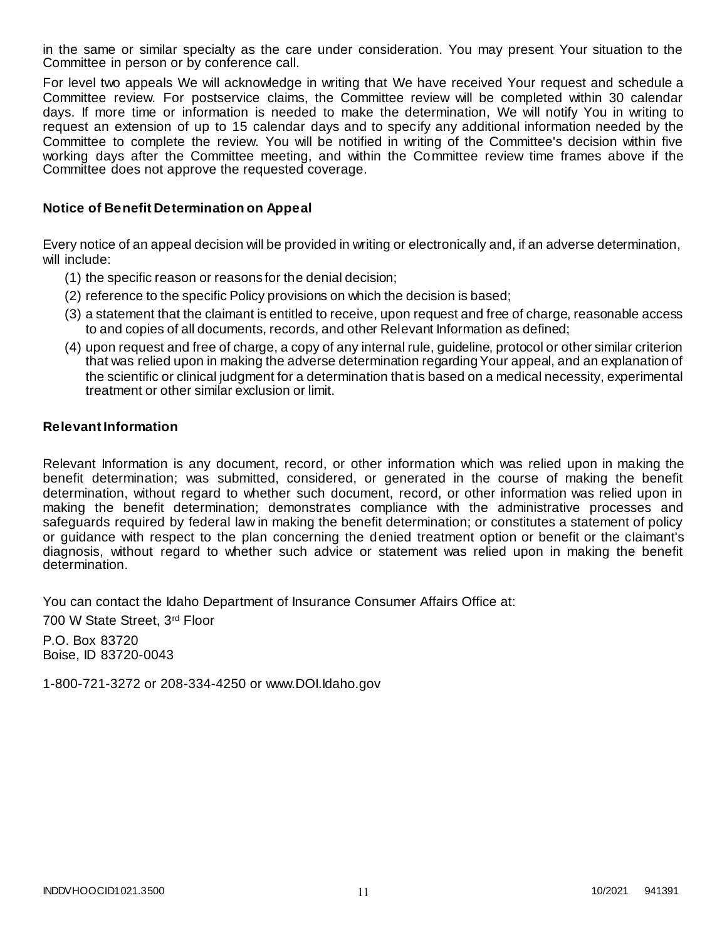in the same or similar specialty as the care under consideration. You may present Your situation to the Committee in person or by conference call.

For level two appeals We will acknowledge in writing that We have received Your request and schedule a Committee review. For postservice claims, the Committee review will be completed within 30 calendar days. If more time or information is needed to make the determination, We will notify You in writing to request an extension of up to 15 calendar days and to specify any additional information needed by the Committee to complete the review. You will be notified in writing of the Committee's decision within five working days after the Committee meeting, and within the Committee review time frames above if the Committee does not approve the requested coverage.

#### **Notice of Benefit Determination on Appeal**

Every notice of an appeal decision will be provided in writing or electronically and, if an adverse determination, will include:

- (1) the specific reason or reasons for the denial decision;
- (2) reference to the specific Policy provisions on which the decision is based;
- (3) a statement that the claimant is entitled to receive, upon request and free of charge, reasonable access to and copies of all documents, records, and other Relevant Information as defined;
- (4) upon request and free of charge, a copy of any internal rule, guideline, protocol or other similar criterion that was relied upon in making the adverse determination regarding Your appeal, and an explanation of the scientific or clinical judgment for a determination that is based on a medical necessity, experimental treatment or other similar exclusion or limit.

#### **Relevant Information**

Relevant Information is any document, record, or other information which was relied upon in making the benefit determination; was submitted, considered, or generated in the course of making the benefit determination, without regard to whether such document, record, or other information was relied upon in making the benefit determination; demonstrates compliance with the administrative processes and safeguards required by federal law in making the benefit determination; or constitutes a statement of policy or guidance with respect to the plan concerning the denied treatment option or benefit or the claimant's diagnosis, without regard to whether such advice or statement was relied upon in making the benefit determination.

You can contact the Idaho Department of Insurance Consumer Affairs Office at:

700 W State Street, 3rd Floor

P.O. Box 83720 Boise, ID 83720-0043

1-800-721-3272 or 208-334-4250 or www.DOI.Idaho.gov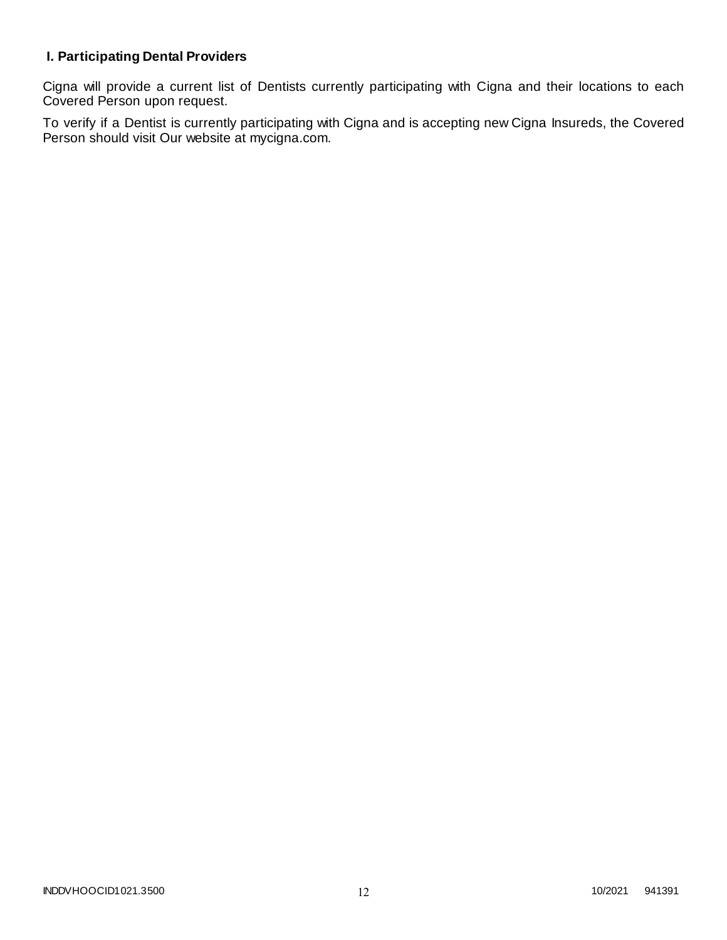# **I. Participating Dental Providers**

Cigna will provide a current list of Dentists currently participating with Cigna and their locations to each Covered Person upon request.

To verify if a Dentist is currently participating with Cigna and is accepting new Cigna Insureds, the Covered Person should visit Our website at mycigna.com.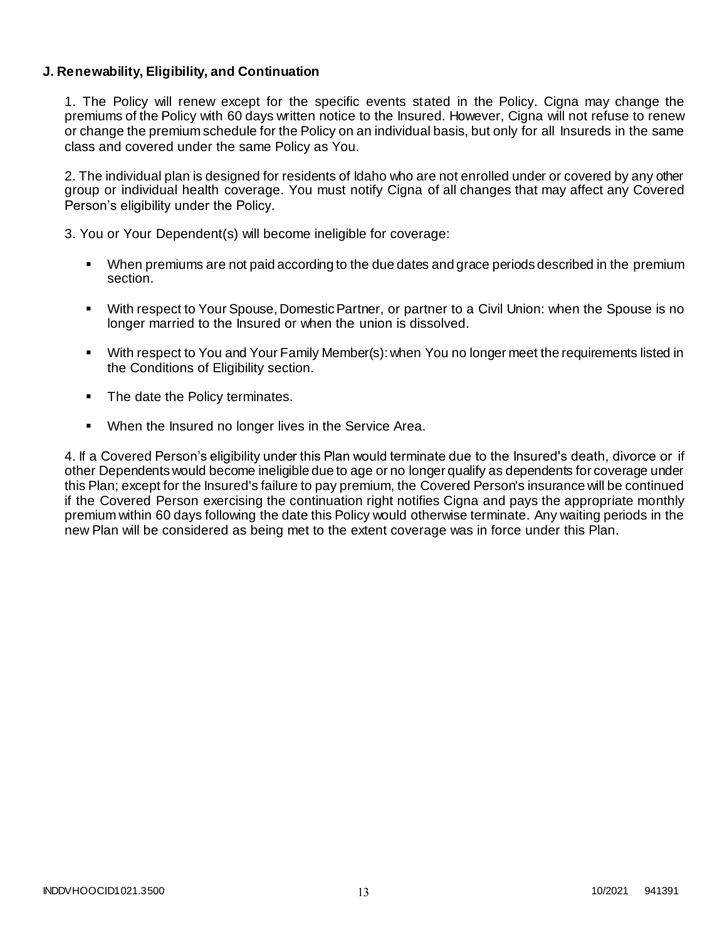### **J. Renewability, Eligibility, and Continuation**

1. The Policy will renew except for the specific events stated in the Policy. Cigna may change the premiums of the Policy with 60 days written notice to the Insured. However, Cigna will not refuse to renew or change the premium schedule for the Policy on an individual basis, but only for all Insureds in the same class and covered under the same Policy as You.

2. The individual plan is designed for residents of Idaho who are not enrolled under or covered by any other group or individual health coverage. You must notify Cigna of all changes that may affect any Covered Person's eligibility under the Policy.

3. You or Your Dependent(s) will become ineligible for coverage:

- When premiums are not paid according to the due dates and grace periods described in the premium section.
- With respect to Your Spouse, Domestic Partner, or partner to a Civil Union: when the Spouse is no longer married to the Insured or when the union is dissolved.
- With respect to You and Your Family Member(s): when You no longer meet the requirements listed in the Conditions of Eligibility section.
- The date the Policy terminates.
- When the Insured no longer lives in the Service Area.

4. If a Covered Person's eligibility under this Plan would terminate due to the Insured's death, divorce or if other Dependents would become ineligible due to age or no longer qualify as dependents for coverage under this Plan; except for the Insured's failure to pay premium, the Covered Person's insurance will be continued if the Covered Person exercising the continuation right notifies Cigna and pays the appropriate monthly premium within 60 days following the date this Policy would otherwise terminate. Any waiting periods in the new Plan will be considered as being met to the extent coverage was in force under this Plan.